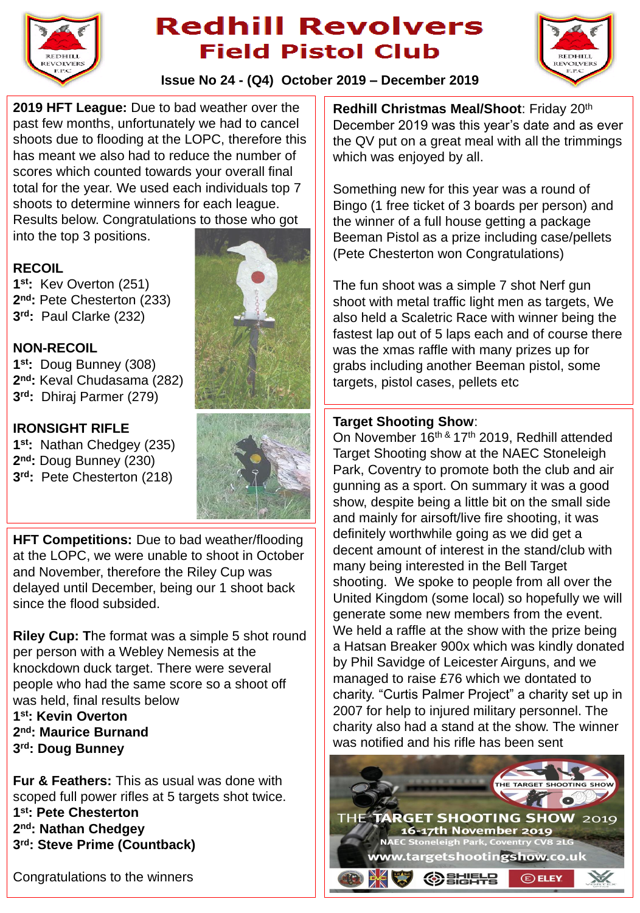

# **Redhill Revolvers Field Pistol Club**



**Issue No 24 - (Q4) October 2019 – December 2019**

**2019 HFT League:** Due to bad weather over the past few months, unfortunately we had to cancel shoots due to flooding at the LOPC, therefore this has meant we also had to reduce the number of scores which counted towards your overall final total for the year. We used each individuals top 7 shoots to determine winners for each league. Results below. Congratulations to those who got into the top 3 positions.

#### **RECOIL**

**1 st:** Kev Overton (251) **2 nd:** Pete Chesterton (233) **3 rd:** Paul Clarke (232)

### **NON-RECOIL**

**1 st:** Doug Bunney (308) **2 nd:** Keval Chudasama (282) **3 rd:** Dhiraj Parmer (279)

### **IRONSIGHT RIFLE**

**1 st:** Nathan Chedgey (235) **2 nd:** Doug Bunney (230) **3 rd:** Pete Chesterton (218)





**HFT Competitions:** Due to bad weather/flooding at the LOPC, we were unable to shoot in October and November, therefore the Riley Cup was delayed until December, being our 1 shoot back since the flood subsided.

**Riley Cup: T**he format was a simple 5 shot round per person with a Webley Nemesis at the knockdown duck target. There were several people who had the same score so a shoot off was held, final results below

**1 st: Kevin Overton 2 nd: Maurice Burnand 3 rd: Doug Bunney**

**Fur & Feathers:** This as usual was done with scoped full power rifles at 5 targets shot twice. **1 st: Pete Chesterton 2 nd: Nathan Chedgey 3 rd: Steve Prime (Countback)**

Congratulations to the winners

**Redhill Christmas Meal/Shoot**: Friday 20th December 2019 was this year's date and as ever the QV put on a great meal with all the trimmings which was enjoyed by all.

Something new for this year was a round of Bingo (1 free ticket of 3 boards per person) and the winner of a full house getting a package Beeman Pistol as a prize including case/pellets (Pete Chesterton won Congratulations)

The fun shoot was a simple 7 shot Nerf gun shoot with metal traffic light men as targets, We also held a Scaletric Race with winner being the fastest lap out of 5 laps each and of course there was the xmas raffle with many prizes up for grabs including another Beeman pistol, some targets, pistol cases, pellets etc

#### **Target Shooting Show**:

On November 16<sup>th &</sup> 17<sup>th</sup> 2019, Redhill attended Target Shooting show at the NAEC Stoneleigh Park, Coventry to promote both the club and air gunning as a sport. On summary it was a good show, despite being a little bit on the small side and mainly for airsoft/live fire shooting, it was definitely worthwhile going as we did get a decent amount of interest in the stand/club with many being interested in the Bell Target shooting. We spoke to people from all over the United Kingdom (some local) so hopefully we will generate some new members from the event. We held a raffle at the show with the prize being a Hatsan Breaker 900x which was kindly donated by Phil Savidge of Leicester Airguns, and we managed to raise £76 which we dontated to charity. "Curtis Palmer Project" a charity set up in 2007 for help to injured military personnel. The charity also had a stand at the show. The winner was notified and his rifle has been sent